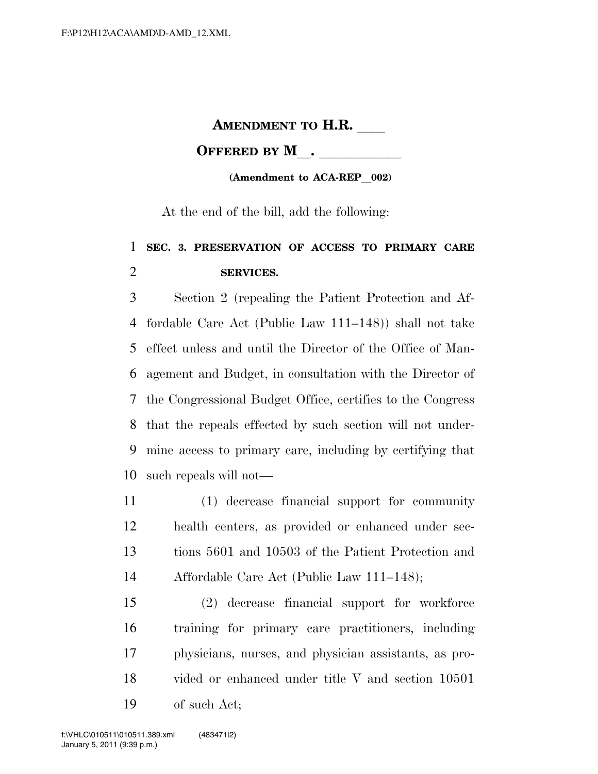## **AMENDMENT TO H.R.**

## **OFFERED BY M**.

## **(Amendment to ACA-REP** 002)

At the end of the bill, add the following:

## **SEC. 3. PRESERVATION OF ACCESS TO PRIMARY CARE SERVICES.**

 Section 2 (repealing the Patient Protection and Af- fordable Care Act (Public Law 111–148)) shall not take effect unless and until the Director of the Office of Man- agement and Budget, in consultation with the Director of the Congressional Budget Office, certifies to the Congress that the repeals effected by such section will not under- mine access to primary care, including by certifying that such repeals will not—

 (1) decrease financial support for community health centers, as provided or enhanced under sec- tions 5601 and 10503 of the Patient Protection and Affordable Care Act (Public Law 111–148);

 (2) decrease financial support for workforce training for primary care practitioners, including physicians, nurses, and physician assistants, as pro- vided or enhanced under title V and section 10501 of such Act;